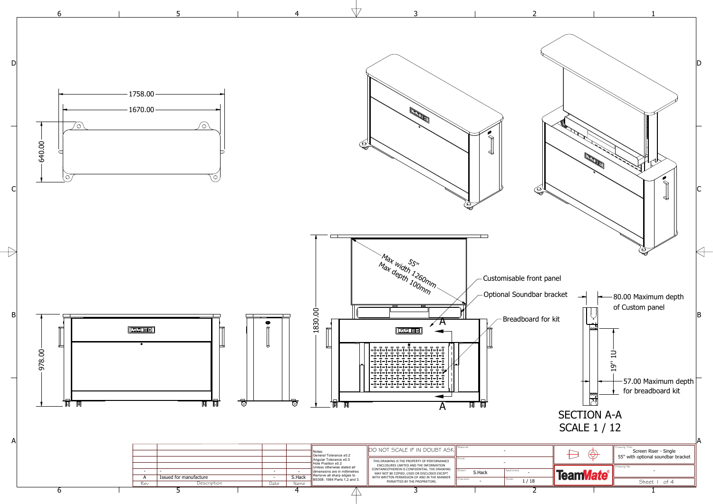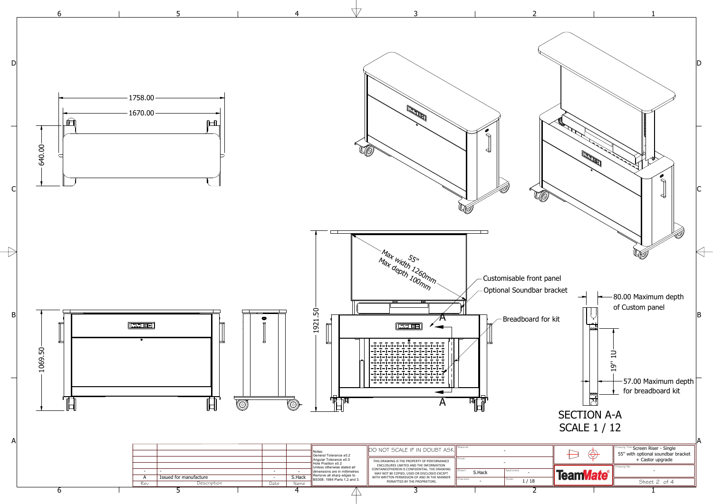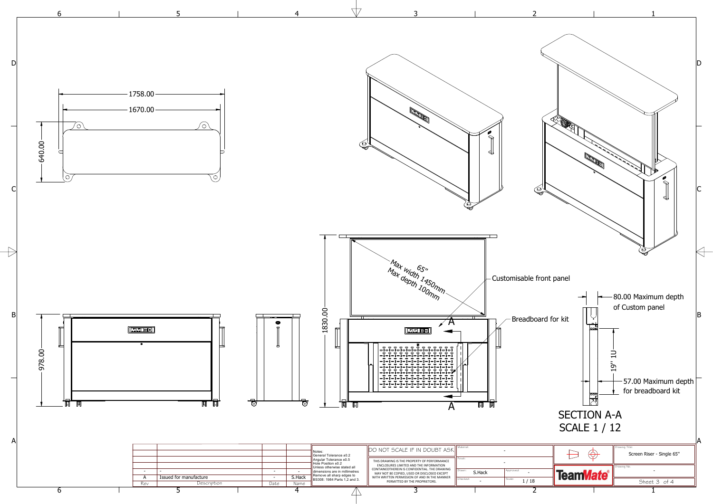